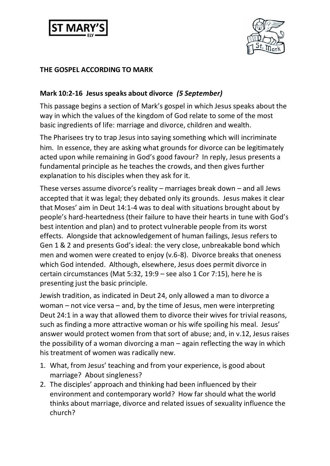



## **THE GOSPEL ACCORDING TO MARK**

## **Mark 10:2-16 Jesus speaks about divorce** *(5 September)*

This passage begins a section of Mark's gospel in which Jesus speaks about the way in which the values of the kingdom of God relate to some of the most basic ingredients of life: marriage and divorce, children and wealth.

The Pharisees try to trap Jesus into saying something which will incriminate him. In essence, they are asking what grounds for divorce can be legitimately acted upon while remaining in God's good favour? In reply, Jesus presents a fundamental principle as he teaches the crowds, and then gives further explanation to his disciples when they ask for it.

These verses assume divorce's reality – marriages break down – and all Jews accepted that it was legal; they debated only its grounds. Jesus makes it clear that Moses' aim in Deut 14:1-4 was to deal with situations brought about by people's hard-heartedness (their failure to have their hearts in tune with God's best intention and plan) and to protect vulnerable people from its worst effects. Alongside that acknowledgement of human failings, Jesus refers to Gen 1 & 2 and presents God's ideal: the very close, unbreakable bond which men and women were created to enjoy (v.6-8). Divorce breaks that oneness which God intended. Although, elsewhere, Jesus does permit divorce in certain circumstances (Mat 5:32, 19:9 – see also 1 Cor 7:15), here he is presenting just the basic principle.

Jewish tradition, as indicated in Deut 24, only allowed a man to divorce a woman – not vice versa – and, by the time of Jesus, men were interpreting Deut 24:1 in a way that allowed them to divorce their wives for trivial reasons, such as finding a more attractive woman or his wife spoiling his meal. Jesus' answer would protect women from that sort of abuse; and, in v.12, Jesus raises the possibility of a woman divorcing a man – again reflecting the way in which his treatment of women was radically new.

- 1. What, from Jesus' teaching and from your experience, is good about marriage? About singleness?
- 2. The disciples' approach and thinking had been influenced by their environment and contemporary world? How far should what the world thinks about marriage, divorce and related issues of sexuality influence the church?